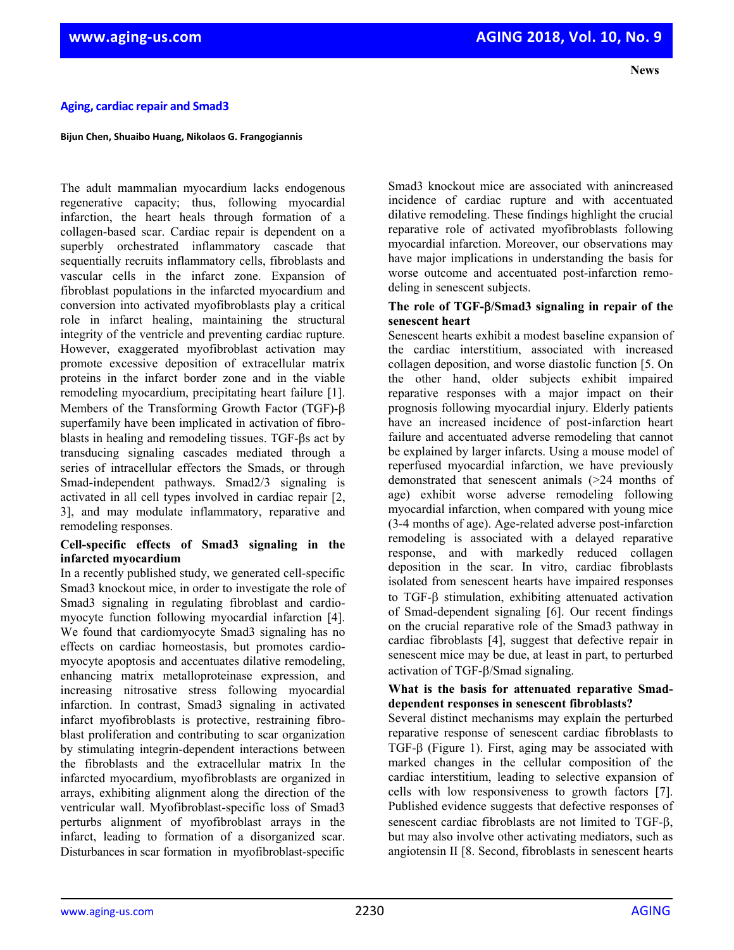## **Aging, cardiac repair and Smad3**

**Bijun Chen, Shuaibo Huang, Nikolaos G. Frangogiannis**

The adult mammalian myocardium lacks endogenous regenerative capacity; thus, following myocardial infarction, the heart heals through formation of a collagen-based scar. Cardiac repair is dependent on a superbly orchestrated inflammatory cascade that sequentially recruits inflammatory cells, fibroblasts and vascular cells in the infarct zone. Expansion of fibroblast populations in the infarcted myocardium and conversion into activated myofibroblasts play a critical role in infarct healing, maintaining the structural integrity of the ventricle and preventing cardiac rupture. However, exaggerated myofibroblast activation may promote excessive deposition of extracellular matrix proteins in the infarct border zone and in the viable remodeling myocardium, precipitating heart failure [1]. Members of the Transforming Growth Factor (TGF)-β superfamily have been implicated in activation of fibroblasts in healing and remodeling tissues. TGF-βs act by transducing signaling cascades mediated through a series of intracellular effectors the Smads, or through Smad-independent pathways. Smad2/3 signaling is activated in all cell types involved in cardiac repair [2, 3], and may modulate inflammatory, reparative and remodeling responses.

#### **Cell-specific effects of Smad3 signaling in the infarcted myocardium**

In a recently published study, we generated cell-specific Smad3 knockout mice, in order to investigate the role of Smad3 signaling in regulating fibroblast and cardiomyocyte function following myocardial infarction [4]. We found that cardiomyocyte Smad3 signaling has no effects on cardiac homeostasis, but promotes cardiomyocyte apoptosis and accentuates dilative remodeling, enhancing matrix metalloproteinase expression, and increasing nitrosative stress following myocardial infarction. In contrast, Smad3 signaling in activated infarct myofibroblasts is protective, restraining fibroblast proliferation and contributing to scar organization by stimulating integrin-dependent interactions between the fibroblasts and the extracellular matrix In the infarcted myocardium, myofibroblasts are organized in arrays, exhibiting alignment along the direction of the ventricular wall. Myofibroblast-specific loss of Smad3 perturbs alignment of myofibroblast arrays in the infarct, leading to formation of a disorganized scar. Disturbances in scar formation in myofibroblast-specific

Smad3 knockout mice are associated with anincreased incidence of cardiac rupture and with accentuated dilative remodeling. These findings highlight the crucial reparative role of activated myofibroblasts following myocardial infarction. Moreover, our observations may have major implications in understanding the basis for worse outcome and accentuated post-infarction remodeling in senescent subjects.

#### **The role of TGF-**β**/Smad3 signaling in repair of the senescent heart**

Senescent hearts exhibit a modest baseline expansion of the cardiac interstitium, associated with increased collagen deposition, and worse diastolic function [5. On the other hand, older subjects exhibit impaired reparative responses with a major impact on their prognosis following myocardial injury. Elderly patients have an increased incidence of post-infarction heart failure and accentuated adverse remodeling that cannot be explained by larger infarcts. Using a mouse model of reperfused myocardial infarction, we have previously demonstrated that senescent animals (>24 months of age) exhibit worse adverse remodeling following myocardial infarction, when compared with young mice (3-4 months of age). Age-related adverse post-infarction remodeling is associated with a delayed reparative response, and with markedly reduced collagen deposition in the scar. In vitro, cardiac fibroblasts isolated from senescent hearts have impaired responses to TGF-β stimulation, exhibiting attenuated activation of Smad-dependent signaling [6]. Our recent findings on the crucial reparative role of the Smad3 pathway in cardiac fibroblasts [4], suggest that defective repair in senescent mice may be due, at least in part, to perturbed activation of TGF-β/Smad signaling.

#### **What is the basis for attenuated reparative Smaddependent responses in senescent fibroblasts?**

Several distinct mechanisms may explain the perturbed reparative response of senescent cardiac fibroblasts to TGF-β (Figure 1). First, aging may be associated with marked changes in the cellular composition of the cardiac interstitium, leading to selective expansion of cells with low responsiveness to growth factors [7]. Published evidence suggests that defective responses of senescent cardiac fibroblasts are not limited to TGF-β, but may also involve other activating mediators, such as angiotensin II [8. Second, fibroblasts in senescent hearts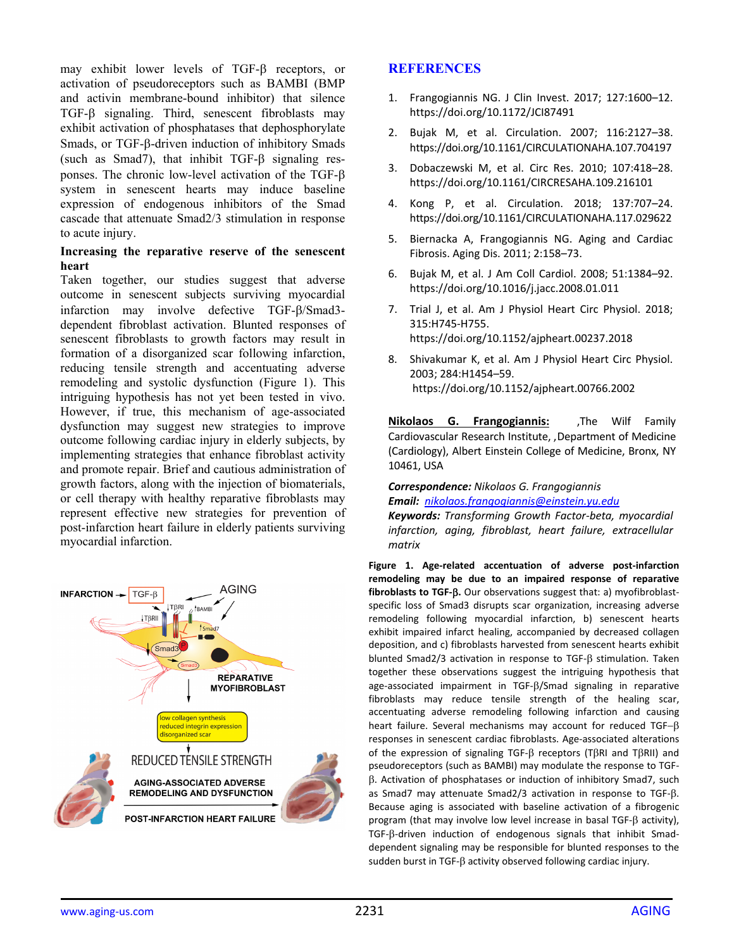may exhibit lower levels of TGF-β receptors, or activation of pseudoreceptors such as BAMBI (BMP and activin membrane-bound inhibitor) that silence TGF-β signaling. Third, senescent fibroblasts may exhibit activation of phosphatases that dephosphorylate Smads, or TGF-β-driven induction of inhibitory Smads (such as Smad7), that inhibit TGF-β signaling responses. The chronic low-level activation of the TGF-β system in senescent hearts may induce baseline expression of endogenous inhibitors of the Smad cascade that attenuate Smad2/3 stimulation in response to acute injury.

#### **Increasing the reparative reserve of the senescent heart**

Taken together, our studies suggest that adverse outcome in senescent subjects surviving myocardial infarction may involve defective TGF-β/Smad3 dependent fibroblast activation. Blunted responses of senescent fibroblasts to growth factors may result in formation of a disorganized scar following infarction, reducing tensile strength and accentuating adverse remodeling and systolic dysfunction (Figure 1). This intriguing hypothesis has not yet been tested in vivo. However, if true, this mechanism of age-associated dysfunction may suggest new strategies to improve outcome following cardiac injury in elderly subjects, by implementing strategies that enhance fibroblast activity and promote repair. Brief and cautious administration of growth factors, along with the injection of biomaterials, or cell therapy with healthy reparative fibroblasts may represent effective new strategies for prevention of post-infarction heart failure in elderly patients surviving myocardial infarction.



### **REFERENCES**

- 1. Frangogiannis NG. J Clin Invest. 2017; 127:1600–12. https://doi.org/10.1172/JCI87491
- 2. Bujak M, et al. Circulation. 2007; 116:2127–38. https://doi.org/10.1161/CIRCULATIONAHA.107.704197
- 3. Dobaczewski M, et al. Circ Res. 2010; 107:418–28. https://doi.org/10.1161/CIRCRESAHA.109.216101
- 4. Kong P, et al. Circulation. 2018; 137:707–24. https://doi.org/10.1161/CIRCULATIONAHA.117.029622
- 5. Biernacka A, Frangogiannis NG. Aging and Cardiac Fibrosis. Aging Dis. 2011; 2:158–73.
- 6. Bujak M, et al. J Am Coll Cardiol. 2008; 51:1384–92. https://doi.org/10.1016/j.jacc.2008.01.011
- 7. Trial J, et al. Am J Physiol Heart Circ Physiol. 2018; 315:H745‐H755. https://doi.org/10.1152/ajpheart.00237.2018
- 8. Shivakumar K, et al. Am J Physiol Heart Circ Physiol. 2003; 284:H1454–59. https://doi.org/10.1152/ajpheart.00766.2002

**Nikolaos G. Frangogiannis:**  ,The Wilf Family Cardiovascular Research Institute, ,Department of Medicine (Cardiology), Albert Einstein College of Medicine, Bronx, NY 10461, USA

# *Correspondence: Nikolaos G. Frangogiannis*

*Email: nikolaos.frangogiannis@einstein.yu.edu*

*Keywords: Transforming Growth Factor‐beta, myocardial infarction, aging, fibroblast, heart failure, extracellular matrix*

**Figure 1. Age‐related accentuation of adverse post‐infarction remodeling may be due to an impaired response of reparative fibroblasts to TGF‐**β**.** Our observations suggest that: a) myofibroblast‐ specific loss of Smad3 disrupts scar organization, increasing adverse remodeling following myocardial infarction, b) senescent hearts exhibit impaired infarct healing, accompanied by decreased collagen deposition, and c) fibroblasts harvested from senescent hearts exhibit blunted Smad2/3 activation in response to TGF‐β stimulation. Taken together these observations suggest the intriguing hypothesis that age‐associated impairment in TGF‐β/Smad signaling in reparative fibroblasts may reduce tensile strength of the healing scar, accentuating adverse remodeling following infarction and causing heart failure. Several mechanisms may account for reduced TGF-β responses in senescent cardiac fibroblasts. Age‐associated alterations of the expression of signaling TGF‐β receptors (TβRI and TβRII) and pseudoreceptors (such as BAMBI) may modulate the response to TGF‐ β. Activation of phosphatases or induction of inhibitory Smad7, such as Smad7 may attenuate Smad2/3 activation in response to TGF‐β. Because aging is associated with baseline activation of a fibrogenic program (that may involve low level increase in basal TGF‐β activity), TGF‐β‐driven induction of endogenous signals that inhibit Smad‐ dependent signaling may be responsible for blunted responses to the sudden burst in TGF‐β activity observed following cardiac injury.